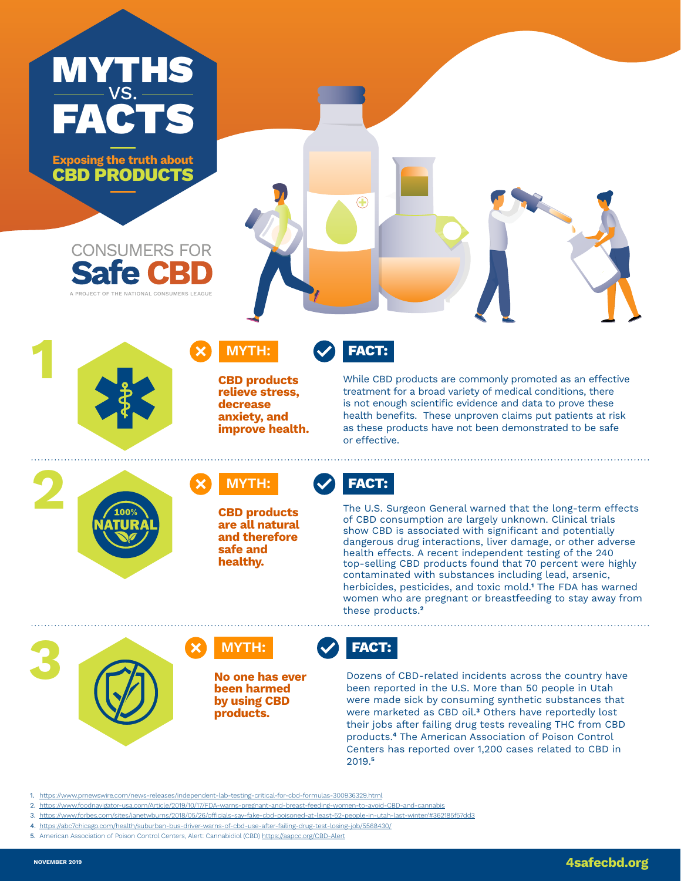

**Exposing the truth about CBD PRODUCTS**







 $\bigoplus$ 

**relieve stress, decrease anxiety, and improve health.**



While CBD products are commonly promoted as an effective treatment for a broad variety of medical conditions, there is not enough scientific evidence and data to prove these health benefits. These unproven claims put patients at risk as these products have not been demonstrated to be safe or effective.

**2 CBD** products





**and therefore safe and healthy.**



The U.S. Surgeon General warned that the long-term effects of CBD consumption are largely unknown. Clinical trials show CBD is associated with significant and potentially dangerous drug interactions, liver damage, or other adverse health effects. A recent independent testing of the 240 top-selling CBD products found that 70 percent were highly contaminated with substances including lead, arsenic, herbicides, pesticides, and toxic mold.**<sup>1</sup>** The FDA has warned women who are pregnant or breastfeeding to stay away from these products.**<sup>2</sup>**

**3 CON**<br>**No one has ever No one has ever been harmed** 



**been harmed by using CBD products.** 



2019.**<sup>5</sup>**

Dozens of CBD-related incidents across the country have been reported in the U.S. More than 50 people in Utah were made sick by consuming synthetic substances that were marketed as CBD oil.**<sup>3</sup>** Others have reportedly lost their jobs after failing drug tests revealing THC from CBD products.**<sup>4</sup>** The American Association of Poison Control Centers has reported over 1,200 cases related to CBD in

- sting-critical-for-cbd-formulas-300936329.html
- 2. <https://www.foodnavigator-usa.com/Article/2019/10/17/FDA-warns-pregnant-and-breast-feeding-women-to-avoid-CBD-and-cannabis>
- 3. <https://www.forbes.com/sites/janetwburns/2018/05/26/officials-say-fake-cbd-poisoned-at-least-52-people-in-utah-last-winter/#362185f57dd3>
- 4. <https://abc7chicago.com/health/suburban-bus-driver-warns-of-cbd-use-after-failing-drug-test-losing-job/5568430/>
- 5. American Association of Poison Control Centers, Alert: Cannabidiol (CBD) <https://aapcc.org/CBD-Alert>